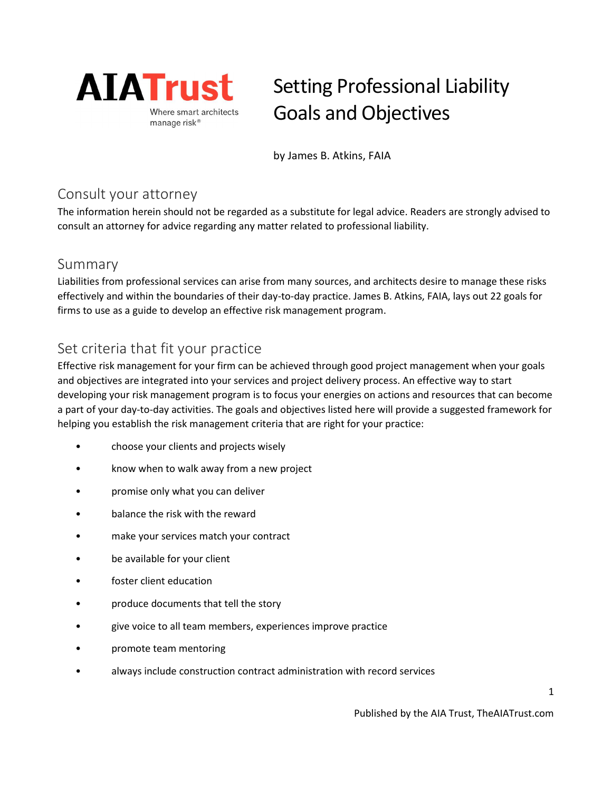

# Setting Professional Liability Goals and Objectives

by James B. Atkins, FAIA

## Consult your attorney

The information herein should not be regarded as a substitute for legal advice. Readers are strongly advised to consult an attorney for advice regarding any matter related to professional liability.

#### Summary

Liabilities from professional services can arise from many sources, and architects desire to manage these risks effectively and within the boundaries of their day-to-day practice. James B. Atkins, FAIA, lays out 22 goals for firms to use as a guide to develop an effective risk management program.

## Set criteria that fit your practice

Effective risk management for your firm can be achieved through good project management when your goals and objectives are integrated into your services and project delivery process. An effective way to start developing your risk management program is to focus your energies on actions and resources that can become a part of your day-to-day activities. The goals and objectives listed here will provide a suggested framework for helping you establish the risk management criteria that are right for your practice:

- choose your clients and projects wisely
- know when to walk away from a new project
- promise only what you can deliver
- balance the risk with the reward
- make your services match your contract
- be available for your client
- foster client education
- produce documents that tell the story
- give voice to all team members, experiences improve practice
- promote team mentoring
- always include construction contract administration with record services